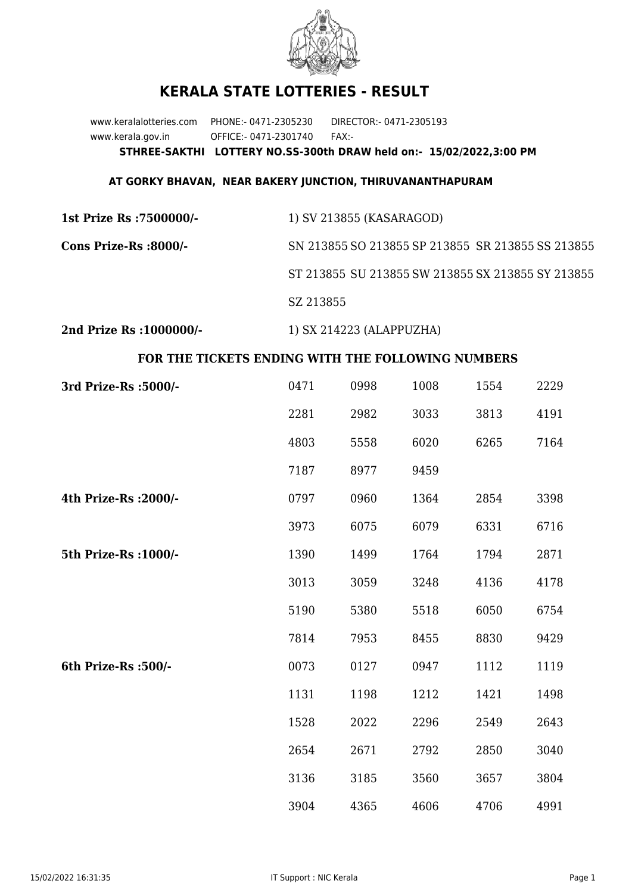

## **KERALA STATE LOTTERIES - RESULT**

www.keralalotteries.com PHONE:- 0471-2305230 DIRECTOR:- 0471-2305193 www.kerala.gov.in OFFICE:- 0471-2301740 FAX:- **STHREE-SAKTHI LOTTERY NO.SS-300th DRAW held on:- 15/02/2022,3:00 PM**

## **AT GORKY BHAVAN, NEAR BAKERY JUNCTION, THIRUVANANTHAPURAM**

| 1st Prize Rs :7500000/-  | 1) SV 213855 (KASARAGOD)                          |
|--------------------------|---------------------------------------------------|
| Cons Prize-Rs :8000/-    | SN 213855 SO 213855 SP 213855 SR 213855 SS 213855 |
|                          | ST 213855 SU 213855 SW 213855 SX 213855 SY 213855 |
|                          | SZ 213855                                         |
| 2nd Prize Rs : 1000000/- | 1) SX 214223 (ALAPPUZHA)                          |

## **FOR THE TICKETS ENDING WITH THE FOLLOWING NUMBERS**

| 3rd Prize-Rs : 5000/- | 0471 | 0998 | 1008 | 1554 | 2229 |
|-----------------------|------|------|------|------|------|
|                       | 2281 | 2982 | 3033 | 3813 | 4191 |
|                       | 4803 | 5558 | 6020 | 6265 | 7164 |
|                       | 7187 | 8977 | 9459 |      |      |
| 4th Prize-Rs : 2000/- | 0797 | 0960 | 1364 | 2854 | 3398 |
|                       | 3973 | 6075 | 6079 | 6331 | 6716 |
| 5th Prize-Rs : 1000/- | 1390 | 1499 | 1764 | 1794 | 2871 |
|                       | 3013 | 3059 | 3248 | 4136 | 4178 |
|                       | 5190 | 5380 | 5518 | 6050 | 6754 |
|                       | 7814 | 7953 | 8455 | 8830 | 9429 |
| 6th Prize-Rs :500/-   | 0073 | 0127 | 0947 | 1112 | 1119 |
|                       | 1131 | 1198 | 1212 | 1421 | 1498 |
|                       | 1528 | 2022 | 2296 | 2549 | 2643 |
|                       | 2654 | 2671 | 2792 | 2850 | 3040 |
|                       | 3136 | 3185 | 3560 | 3657 | 3804 |
|                       | 3904 | 4365 | 4606 | 4706 | 4991 |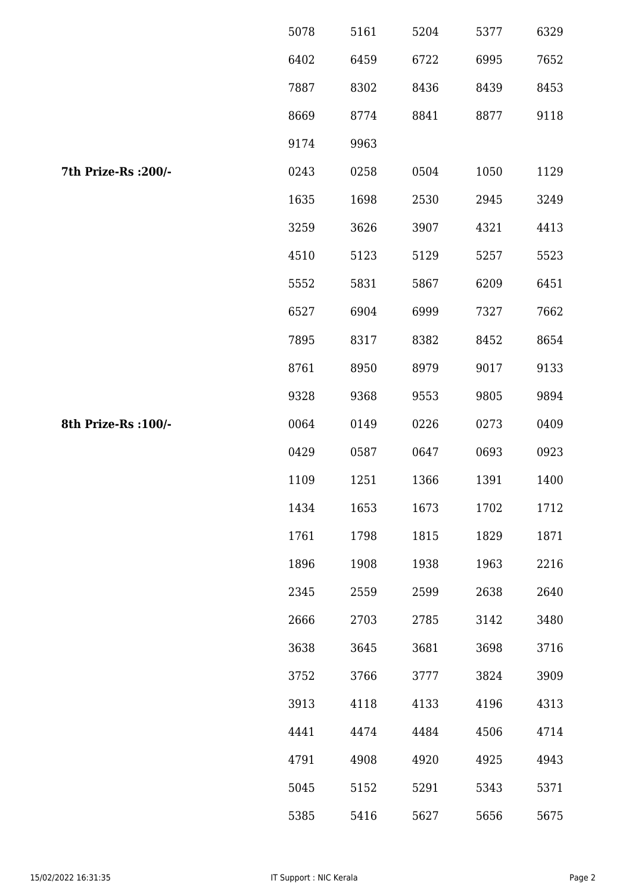|                      | 5078 | 5161 | 5204 | 5377 | 6329 |
|----------------------|------|------|------|------|------|
|                      | 6402 | 6459 | 6722 | 6995 | 7652 |
|                      | 7887 | 8302 | 8436 | 8439 | 8453 |
|                      | 8669 | 8774 | 8841 | 8877 | 9118 |
|                      | 9174 | 9963 |      |      |      |
| 7th Prize-Rs : 200/- | 0243 | 0258 | 0504 | 1050 | 1129 |
|                      | 1635 | 1698 | 2530 | 2945 | 3249 |
|                      | 3259 | 3626 | 3907 | 4321 | 4413 |
|                      | 4510 | 5123 | 5129 | 5257 | 5523 |
|                      | 5552 | 5831 | 5867 | 6209 | 6451 |
|                      | 6527 | 6904 | 6999 | 7327 | 7662 |
|                      | 7895 | 8317 | 8382 | 8452 | 8654 |
|                      | 8761 | 8950 | 8979 | 9017 | 9133 |
|                      | 9328 | 9368 | 9553 | 9805 | 9894 |
| 8th Prize-Rs : 100/- | 0064 | 0149 | 0226 | 0273 | 0409 |
|                      | 0429 | 0587 | 0647 | 0693 | 0923 |
|                      | 1109 | 1251 | 1366 | 1391 | 1400 |
|                      | 1434 | 1653 | 1673 | 1702 | 1712 |
|                      | 1761 | 1798 | 1815 | 1829 | 1871 |
|                      | 1896 | 1908 | 1938 | 1963 | 2216 |
|                      | 2345 | 2559 | 2599 | 2638 | 2640 |
|                      | 2666 | 2703 | 2785 | 3142 | 3480 |
|                      | 3638 | 3645 | 3681 | 3698 | 3716 |
|                      | 3752 | 3766 | 3777 | 3824 | 3909 |
|                      | 3913 | 4118 | 4133 | 4196 | 4313 |
|                      | 4441 | 4474 | 4484 | 4506 | 4714 |
|                      | 4791 | 4908 | 4920 | 4925 | 4943 |
|                      | 5045 | 5152 | 5291 | 5343 | 5371 |
|                      | 5385 | 5416 | 5627 | 5656 | 5675 |